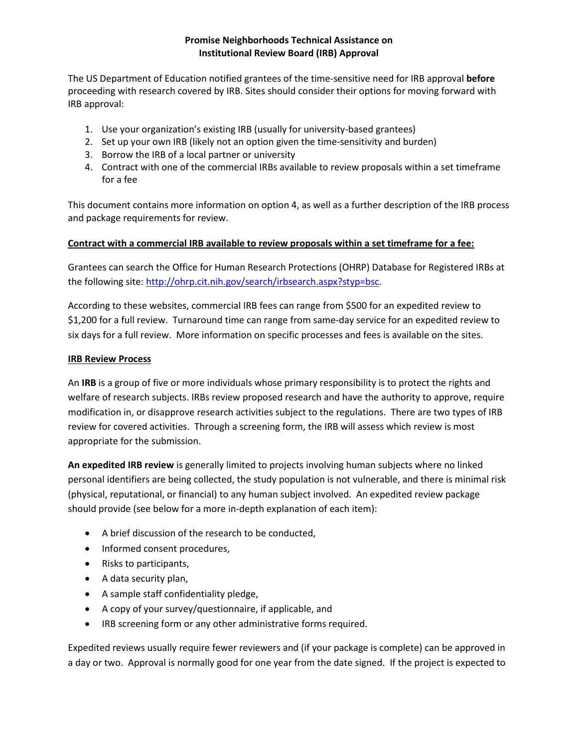#### **Promise Neighborhoods Technical Assistance on Institutional Review Board (IRB) Approval**

The US Department of Education notified grantees of the time-sensitive need for IRB approval **before** proceeding with research covered by IRB. Sites should consider their options for moving forward with IRB approval:

- 1. Use your organization's existing IRB (usually for university-based grantees)
- 2. Set up your own IRB (likely not an option given the time-sensitivity and burden)
- 3. Borrow the IRB of a local partner or university
- 4. Contract with one of the commercial IRBs available to review proposals within a set timeframe for a fee

This document contains more information on option 4, as well as a further description of the IRB process and package requirements for review.

#### **Contract with a commercial IRB available to review proposals within a set timeframe for a fee:**

Grantees can search the Office for Human Research Protections (OHRP) Database for Registered IRBs at the following site[: http://ohrp.cit.nih.gov/search/irbsearch.aspx?styp=bsc.](http://ohrp.cit.nih.gov/search/irbsearch.aspx?styp=bsc)

According to these websites, commercial IRB fees can range from \$500 for an expedited review to \$1,200 for a full review. Turnaround time can range from same-day service for an expedited review to six days for a full review. More information on specific processes and fees is available on the sites.

#### **IRB Review Process**

An **IRB** is a group of five or more individuals whose primary responsibility is to protect the rights and welfare of research subjects. IRBs review proposed research and have the authority to approve, require modification in, or disapprove research activities subject to the regulations. There are two types of IRB review for covered activities. Through a screening form, the IRB will assess which review is most appropriate for the submission.

**An expedited IRB review** is generally limited to projects involving human subjects where no linked personal identifiers are being collected, the study population is not vulnerable, and there is minimal risk (physical, reputational, or financial) to any human subject involved. An expedited review package should provide (see below for a more in-depth explanation of each item):

- A brief discussion of the research to be conducted,
- Informed consent procedures,
- Risks to participants,
- A data security plan,
- A sample staff confidentiality pledge,
- A copy of your survey/questionnaire, if applicable, and
- IRB screening form or any other administrative forms required.

Expedited reviews usually require fewer reviewers and (if your package is complete) can be approved in a day or two. Approval is normally good for one year from the date signed. If the project is expected to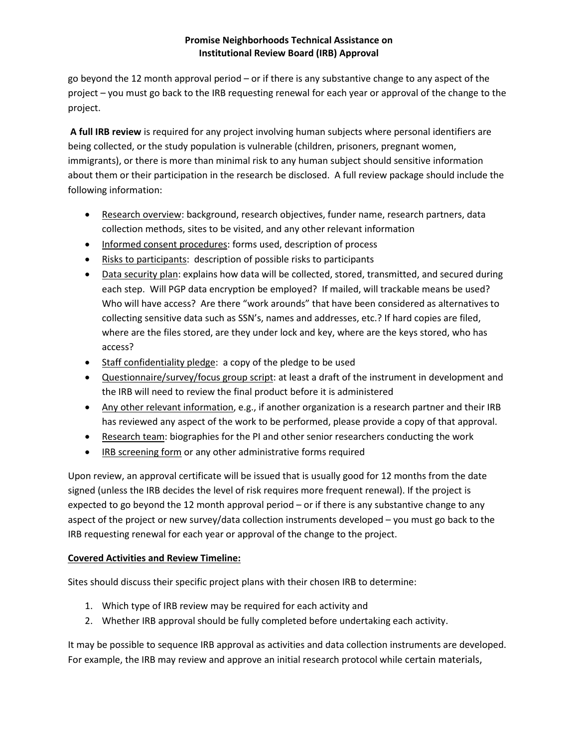# **Promise Neighborhoods Technical Assistance on Institutional Review Board (IRB) Approval**

go beyond the 12 month approval period – or if there is any substantive change to any aspect of the project – you must go back to the IRB requesting renewal for each year or approval of the change to the project.

**A full IRB review** is required for any project involving human subjects where personal identifiers are being collected, or the study population is vulnerable (children, prisoners, pregnant women, immigrants), or there is more than minimal risk to any human subject should sensitive information about them or their participation in the research be disclosed. A full review package should include the following information:

- Research overview: background, research objectives, funder name, research partners, data collection methods, sites to be visited, and any other relevant information
- Informed consent procedures: forms used, description of process
- Risks to participants: description of possible risks to participants
- Data security plan: explains how data will be collected, stored, transmitted, and secured during each step. Will PGP data encryption be employed? If mailed, will trackable means be used? Who will have access? Are there "work arounds" that have been considered as alternatives to collecting sensitive data such as SSN's, names and addresses, etc.? If hard copies are filed, where are the files stored, are they under lock and key, where are the keys stored, who has access?
- Staff confidentiality pledge: a copy of the pledge to be used
- Questionnaire/survey/focus group script: at least a draft of the instrument in development and the IRB will need to review the final product before it is administered
- Any other relevant information, e.g., if another organization is a research partner and their IRB has reviewed any aspect of the work to be performed, please provide a copy of that approval.
- Research team: biographies for the PI and other senior researchers conducting the work
- IRB screening form or any other administrative forms required

Upon review, an approval certificate will be issued that is usually good for 12 months from the date signed (unless the IRB decides the level of risk requires more frequent renewal). If the project is expected to go beyond the 12 month approval period – or if there is any substantive change to any aspect of the project or new survey/data collection instruments developed – you must go back to the IRB requesting renewal for each year or approval of the change to the project.

# **Covered Activities and Review Timeline:**

Sites should discuss their specific project plans with their chosen IRB to determine:

- 1. Which type of IRB review may be required for each activity and
- 2. Whether IRB approval should be fully completed before undertaking each activity.

It may be possible to sequence IRB approval as activities and data collection instruments are developed. For example, the IRB may review and approve an initial research protocol while certain materials,